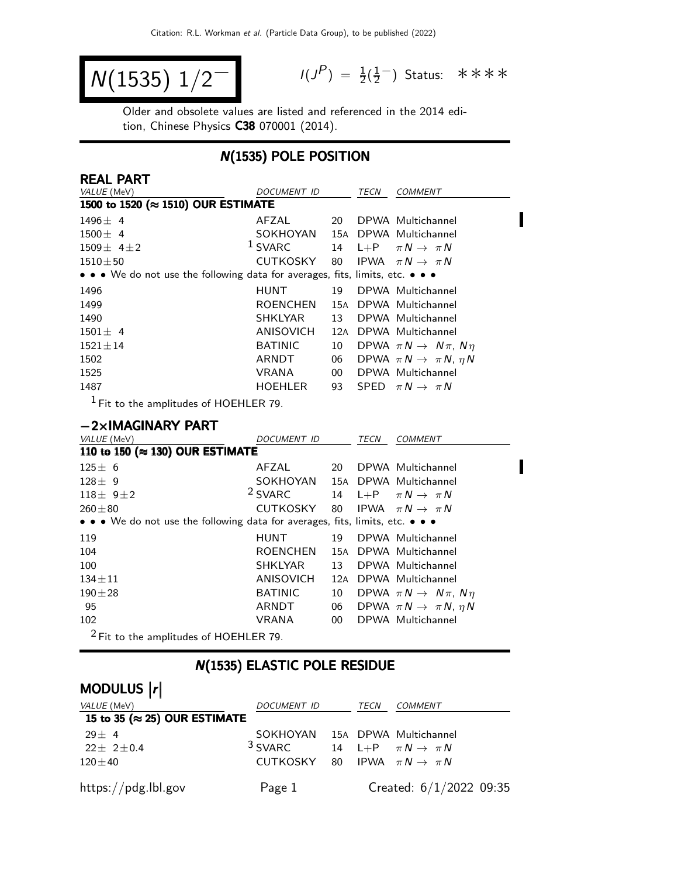$$
N(1535) \; 1/2^{-1} \qquad \qquad ^{1/3}
$$

 $P$ ) =  $\frac{1}{2}(\frac{1}{2})$  $\frac{1}{2}$  Status: \*\*\*\*

Π

Older and obsolete values are listed and referenced in the 2014 edition, Chinese Physics C38 070001 (2014).

### N(1535) POLE POSITION

| <b>REAL PART</b>                                                              |                    |     |      |                                           |
|-------------------------------------------------------------------------------|--------------------|-----|------|-------------------------------------------|
| VALUE (MeV)                                                                   | <b>DOCUMENT ID</b> |     | TECN | <b>COMMENT</b>                            |
| 1500 to 1520 (≈ 1510) OUR ESTIMATE                                            |                    |     |      |                                           |
| $1496 \pm 4$                                                                  | AFZAL              | 20  |      | DPWA Multichannel                         |
| $1500 \pm 4$                                                                  | SOKHOYAN           |     |      | 15A DPWA Multichannel                     |
| $1509 \pm 4 \pm 2$                                                            | <sup>1</sup> SVARC | 14  |      | L+P $\pi N \rightarrow \pi N$             |
| $1510 \pm 50$                                                                 | CUTKOSKY           | 80  |      | IPWA $\pi N \rightarrow \pi N$            |
| • • • We do not use the following data for averages, fits, limits, etc. • • • |                    |     |      |                                           |
| 1496                                                                          | <b>HUNT</b>        | 19  |      | DPWA Multichannel                         |
| 1499                                                                          | <b>ROENCHEN</b>    |     |      | 15A DPWA Multichannel                     |
| 1490                                                                          | <b>SHKLYAR</b>     | 13  |      | DPWA Multichannel                         |
| $1501 \pm 4$                                                                  | ANISOVICH          | 12A |      | DPWA Multichannel                         |
| $1521 \pm 14$                                                                 | <b>BATINIC</b>     | 10  |      | DPWA $\pi N \rightarrow N \pi$ , $N \eta$ |
| 1502                                                                          | ARNDT              | 06  |      | DPWA $\pi N \rightarrow \pi N$ , $\eta N$ |
| 1525                                                                          | <b>VRANA</b>       | 00  |      | DPWA Multichannel                         |
| 1487                                                                          | <b>HOEHLER</b>     | 93  |      | SPED $\pi N \rightarrow \pi N$            |
| $1 -$<br>.                                                                    |                    |     |      |                                           |

1 Fit to the amplitudes of HOEHLER 79.

#### −2×IMAGINARY PART

| VALUE (MeV)                                                                   | <i>DOCUMENT ID</i> |                 | TECN | <b>COMMENT</b>                            |  |  |
|-------------------------------------------------------------------------------|--------------------|-----------------|------|-------------------------------------------|--|--|
| 110 to 150 (≈ 130) OUR ESTIMATE                                               |                    |                 |      |                                           |  |  |
| $125 \pm 6$                                                                   | AFZAL              | 20              |      | DPWA Multichannel                         |  |  |
| $128 \pm 9$                                                                   | SOKHOYAN           |                 |      | 15A DPWA Multichannel                     |  |  |
| $118 \pm 9 \pm 2$                                                             | <sup>2</sup> SVARC | 14              |      | $L+P$ $\pi N \rightarrow \pi N$           |  |  |
| $260 + 80$                                                                    | CUTKOSKY           |                 |      | 80 IPWA $\pi N \rightarrow \pi N$         |  |  |
| • • • We do not use the following data for averages, fits, limits, etc. • • • |                    |                 |      |                                           |  |  |
| 119                                                                           | HUNT               | 19              |      | DPWA Multichannel                         |  |  |
| 104                                                                           | <b>ROENCHEN</b>    |                 |      | 15A DPWA Multichannel                     |  |  |
| 100                                                                           | <b>SHKLYAR</b>     | 13              |      | DPWA Multichannel                         |  |  |
| $134 \pm 11$                                                                  | ANISOVICH          | 12A             |      | DPWA Multichannel                         |  |  |
| $190 + 28$                                                                    | <b>BATINIC</b>     | 10              |      | DPWA $\pi N \rightarrow N \pi$ , $N \eta$ |  |  |
| 95                                                                            | ARNDT              | 06              |      | DPWA $\pi N \rightarrow \pi N$ , $\eta N$ |  |  |
| 102                                                                           | <b>VRANA</b>       | 00 <sup>°</sup> |      | DPWA Multichannel                         |  |  |
| $2$ Fit to the amplitudes of HOEHLER 79.                                      |                    |                 |      |                                           |  |  |

### N(1535) ELASTIC POLE RESIDUE

# MODULUS  $\vert r \vert$

| <i>VALUE</i> (MeV)                    | DOCUMENT ID                                         | TECN | <i>COMMENT</i>          |
|---------------------------------------|-----------------------------------------------------|------|-------------------------|
| 15 to 35 ( $\approx$ 25) OUR ESTIMATE |                                                     |      |                         |
| $29 + 4$                              | SOKHOYAN 15A DPWA Multichannel                      |      |                         |
| $22 \pm 2 \pm 0.4$                    | <sup>3</sup> SVARC 14 L+P $\pi N \rightarrow \pi N$ |      |                         |
| $120\pm40$                            | CUTKOSKY 80 IPWA $\pi N \rightarrow \pi N$          |      |                         |
| https://pdg.lbl.gov                   | Page 1                                              |      | Created: 6/1/2022 09:35 |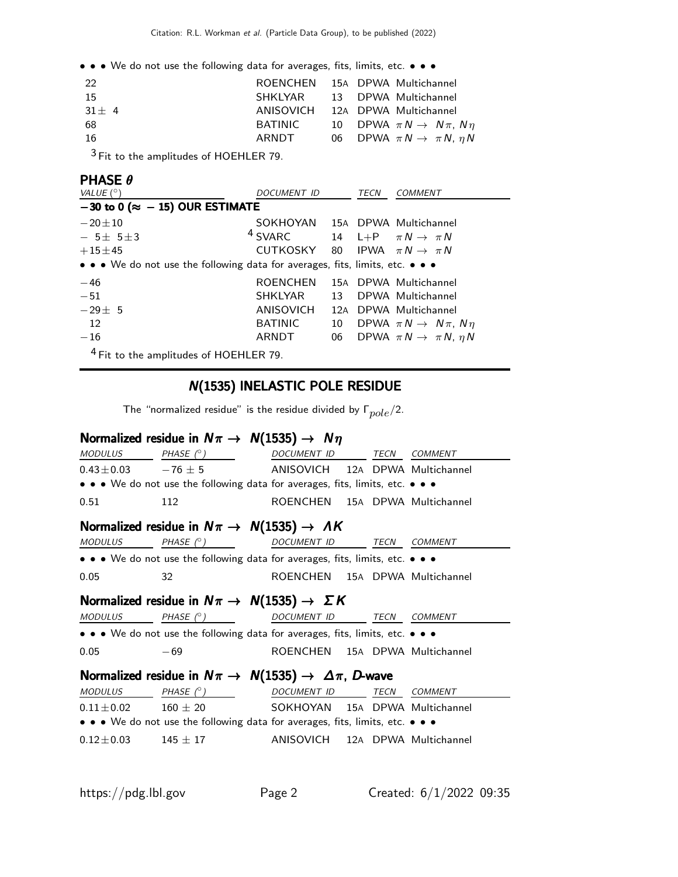• • • We do not use the following data for averages, fits, limits, etc. • • •

| 22         |         | ROENCHEN 15A DPWA Multichannel               |
|------------|---------|----------------------------------------------|
| -15        |         | SHKLYAR 13 DPWA Multichannel                 |
| $31 \pm 4$ |         | ANISOVICH 12A DPWA Multichannel              |
| 68         | BATINIC | 10 DPWA $\pi N \rightarrow N \pi$ , $N \eta$ |
| -16        | ARNDT   | 06 DPWA $\pi N \rightarrow \pi N$ , $\eta N$ |
| $\sim$     |         |                                              |

<sup>3</sup> Fit to the amplitudes of HOEHLER 79.

#### PHASE θ

| VALUE $(^\circ)$                                                              | <i>DOCUMENT ID</i> |    | TECN | <b>COMMENT</b>                            |
|-------------------------------------------------------------------------------|--------------------|----|------|-------------------------------------------|
| $-30$ to 0 ( $\approx -15$ ) OUR ESTIMATE                                     |                    |    |      |                                           |
| $-20 + 10$                                                                    | SOKHOYAN           |    |      | 15A DPWA Multichannel                     |
| $-5\pm 5\pm 3$                                                                | <sup>4</sup> SVARC |    |      | 14 L+P $\pi N \rightarrow \pi N$          |
| $+15 \pm 45$                                                                  | CUTKOSKY           |    |      | 80 IPWA $\pi N \rightarrow \pi N$         |
| • • • We do not use the following data for averages, fits, limits, etc. • • • |                    |    |      |                                           |
| $-46$                                                                         | <b>ROENCHEN</b>    |    |      | 15A DPWA Multichannel                     |
| $-51$                                                                         | SHKLYAR            | 13 |      | DPWA Multichannel                         |
| $-29\pm 5$                                                                    | ANISOVICH          |    |      | 12A DPWA Multichannel                     |
| 12                                                                            | <b>BATINIC</b>     | 10 |      | DPWA $\pi N \rightarrow N \pi$ , $N \eta$ |
| $-16$                                                                         | ARNDT              | 06 |      | DPWA $\pi N \rightarrow \pi N$ , $\eta N$ |
| <sup>4</sup> Fit to the amplitudes of HOEHLER 79.                             |                    |    |      |                                           |

### N(1535) INELASTIC POLE RESIDUE

The "normalized residue" is the residue divided by  $\Gamma_{pole}/2$ .

### Normalized residue in  $N\pi \rightarrow N(1535) \rightarrow N\eta$

| MODULUS PHASE $(^\circ)$                                        |                                                                                                                       | DOCUMENT ID TECN                |  |      | <b>COMMENT</b> |  |  |
|-----------------------------------------------------------------|-----------------------------------------------------------------------------------------------------------------------|---------------------------------|--|------|----------------|--|--|
| $0.43 \pm 0.03$ $-76 \pm 5$                                     |                                                                                                                       | ANISOVICH 12A DPWA Multichannel |  |      |                |  |  |
|                                                                 | • • • We do not use the following data for averages, fits, limits, etc. • • •                                         |                                 |  |      |                |  |  |
| 0.51                                                            | 112                                                                                                                   | ROENCHEN 15A DPWA Multichannel  |  |      |                |  |  |
| Normalized residue in $N\pi \rightarrow N(1535) \rightarrow AK$ |                                                                                                                       |                                 |  |      |                |  |  |
|                                                                 | $MODULUS$ PHASE $(^{\circ})$ DOCUMENT ID                                                                              |                                 |  |      | TECN COMMENT   |  |  |
|                                                                 | • • • We do not use the following data for averages, fits, limits, etc. • • •                                         |                                 |  |      |                |  |  |
| 0.05                                                            | 32                                                                                                                    | ROENCHEN 15A DPWA Multichannel  |  |      |                |  |  |
|                                                                 | Normalized residue in $N\pi \rightarrow N(1535) \rightarrow \Sigma K$                                                 |                                 |  |      |                |  |  |
| <b>MODULUS</b>                                                  | PHASE $(^\circ)$                                                                                                      | DOCUMENT ID                     |  | TECN | <b>COMMENT</b> |  |  |
|                                                                 | • • • We do not use the following data for averages, fits, limits, etc. • • •                                         |                                 |  |      |                |  |  |
| 0.05                                                            | $-69$                                                                                                                 | ROENCHEN 15A DPWA Multichannel  |  |      |                |  |  |
|                                                                 | Normalized residue in $N\pi \to N(1535) \to \Delta \pi$ , D-wave                                                      |                                 |  |      |                |  |  |
| <b>MODULUS</b>                                                  | PHASE $(^\circ)$                                                                                                      | DOCUMENT ID                     |  |      | TECN COMMENT   |  |  |
| $0.11 \pm 0.02$                                                 | $160\,\pm\,20$                                                                                                        | SOKHOYAN 15A DPWA Multichannel  |  |      |                |  |  |
|                                                                 | $\bullet \bullet \bullet$ We do not use the following data for averages, fits, limits, etc. $\bullet \bullet \bullet$ |                                 |  |      |                |  |  |
| $0.12 \pm 0.03$ 145 $\pm$ 17                                    |                                                                                                                       | ANISOVICH 12A DPWA Multichannel |  |      |                |  |  |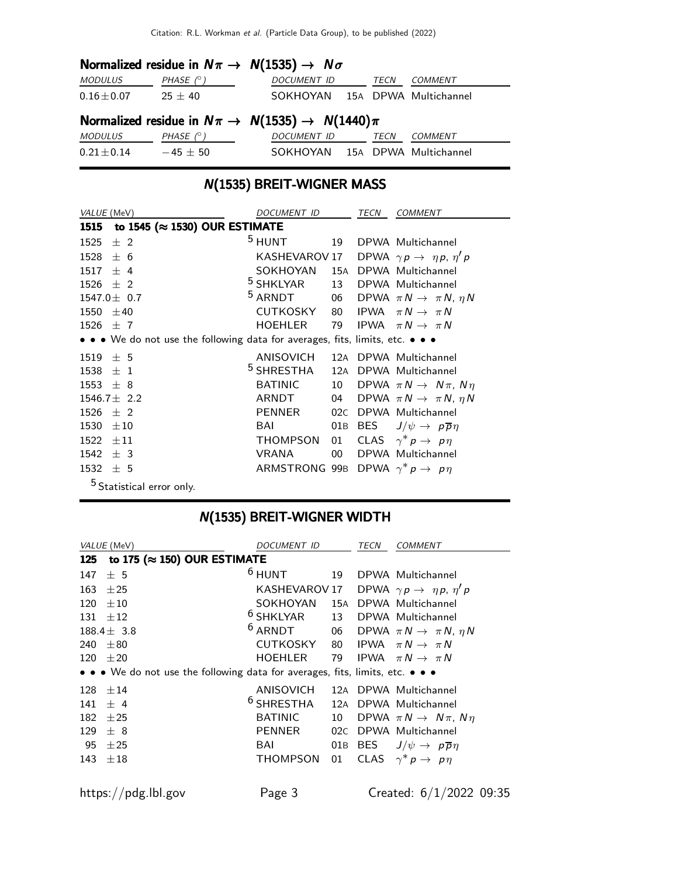### Normalized residue in  $N\pi \rightarrow N(1535) \rightarrow N\sigma$

| <b>MODULUS</b>  | PHASE $(^\circ)$ | DOCUMENT ID                                             | TECN | COMMENT               |
|-----------------|------------------|---------------------------------------------------------|------|-----------------------|
| $0.16 \pm 0.07$ | $25 \pm 40$      | SOKHOYAN 15A DPWA Multichannel                          |      |                       |
|                 |                  | Normalized residue in $N\pi \to N(1535) \to N(1440)\pi$ |      |                       |
| <i>MODULUS</i>  | PHASE (° )       | <i>DOCUMENT ID</i>                                      | TECN | COMMENT               |
| $0.21 \pm 0.14$ | $-45 \pm 50$     | SOKHOYAN                                                |      | 15A DPWA Multichannel |

## N(1535) BREIT-WIGNER MASS

| VALUE (MeV)                                                                   | <i>DOCUMENT ID</i>                         |                 | TECN | COMMENT                                      |
|-------------------------------------------------------------------------------|--------------------------------------------|-----------------|------|----------------------------------------------|
| to 1545 ( $\approx$ 1530) OUR ESTIMATE<br>1515                                |                                            |                 |      |                                              |
| 1525<br>$±$ 2                                                                 | $5$ HUNT                                   | 19              |      | DPWA Multichannel                            |
| ± 6<br>1528                                                                   | KASHEVAROV 17                              |                 |      | DPWA $\gamma p \rightarrow \eta p, \eta' p$  |
| $1517 \pm 4$                                                                  | SOKHOYAN                                   |                 |      | 15A DPWA Multichannel                        |
| $1526 \pm 2$                                                                  | <sup>5</sup> SHKLYAR                       |                 |      | 13 DPWA Multichannel                         |
| $1547.0 \pm 0.7$                                                              | <sup>5</sup> ARNDT                         |                 |      | 06 DPWA $\pi N \rightarrow \pi N$ , $\eta N$ |
| 1550<br>$\pm 40$                                                              | CUTKOSKY                                   |                 |      | 80 IPWA $\pi N \rightarrow \pi N$            |
| $1526 \pm 7$                                                                  | HOEHLER                                    | 79              |      | IPWA $\pi N \rightarrow \pi N$               |
| • • • We do not use the following data for averages, fits, limits, etc. • • • |                                            |                 |      |                                              |
| 1519<br>± 5                                                                   | ANISOVICH                                  |                 |      | 12A DPWA Multichannel                        |
| 1538<br>$\pm$ 1                                                               | $5$ SHRESTHA                               |                 |      | 12A DPWA Multichannel                        |
| $1553 \pm 8$                                                                  | <b>BATINIC</b>                             | 10              |      | DPWA $\pi N \rightarrow N \pi$ , $N \eta$    |
| $1546.7 \pm 2.2$                                                              | ARNDT                                      | 04              |      | DPWA $\pi N \rightarrow \pi N$ , $\eta N$    |
| $1526 \pm 2$                                                                  | PENNER                                     | 02C             |      | DPWA Multichannel                            |
| 1530<br>$\pm 10$                                                              | BAI                                        | 01B             |      | BES $J/\psi \rightarrow p\overline{p}\eta$   |
| 1522<br>$\pm11$                                                               | THOMPSON                                   | 01              |      | CLAS $\gamma^* p \to p \eta$                 |
| 1542<br>$±$ 3                                                                 | <b>VRANA</b>                               | 00 <sup>1</sup> |      | DPWA Multichannel                            |
| $1532 \pm 5$                                                                  | ARMSTRONG 99B DPWA $\gamma^* p \to p \eta$ |                 |      |                                              |
| $5$ Statistical error only.                                                   |                                            |                 |      |                                              |

### N(1535) BREIT-WIGNER WIDTH

|     | VALUE (MeV)                                                                   | <b>DOCUMENT ID</b> |     | <b>TECN</b> | <b>COMMENT</b>                              |  |  |  |  |
|-----|-------------------------------------------------------------------------------|--------------------|-----|-------------|---------------------------------------------|--|--|--|--|
| 125 | to 175 ( $\approx$ 150) OUR ESTIMATE                                          |                    |     |             |                                             |  |  |  |  |
| 147 | ± 5                                                                           | $6$ HUNT           | 19  |             | DPWA Multichannel                           |  |  |  |  |
| 163 | $+25$                                                                         | KASHEVAROV 17      |     |             | DPWA $\gamma p \rightarrow \eta p, \eta' p$ |  |  |  |  |
| 120 | $+10$                                                                         | SOKHOYAN           | 15A |             | DPWA Multichannel                           |  |  |  |  |
| 131 | $\pm 12$                                                                      | $6$ SHKLYAR        | 13  |             | DPWA Multichannel                           |  |  |  |  |
|     | $188.4 \pm 3.8$                                                               | <sup>6</sup> ARNDT | 06  |             | DPWA $\pi N \rightarrow \pi N$ , $\eta N$   |  |  |  |  |
| 240 | $+80$                                                                         | <b>CUTKOSKY</b>    | 80  |             | IPWA $\pi N \rightarrow \pi N$              |  |  |  |  |
|     | $120 + 20$                                                                    | <b>HOEHLER</b>     | 79  |             | IPWA $\pi N \rightarrow \pi N$              |  |  |  |  |
|     | • • • We do not use the following data for averages, fits, limits, etc. • • • |                    |     |             |                                             |  |  |  |  |
| 128 | ±14                                                                           | ANISOVICH          |     |             | 12A DPWA Multichannel                       |  |  |  |  |
| 141 | $+4$                                                                          | $6$ SHRESTHA       | 12A |             | DPWA Multichannel                           |  |  |  |  |
| 182 | $+25$                                                                         | <b>BATINIC</b>     | 10  |             | DPWA $\pi N \rightarrow N \pi$ , $N \eta$   |  |  |  |  |
| 129 | $\pm$ 8                                                                       | PENNER             | 02C |             | DPWA Multichannel                           |  |  |  |  |
| 95  | ±25                                                                           | BAI                | 01B | BES         | $J/\psi \rightarrow p\overline{p}\eta$      |  |  |  |  |
| 143 | $+18$                                                                         | <b>THOMPSON</b>    | 01  | <b>CLAS</b> | $\gamma^* p \to p \eta$                     |  |  |  |  |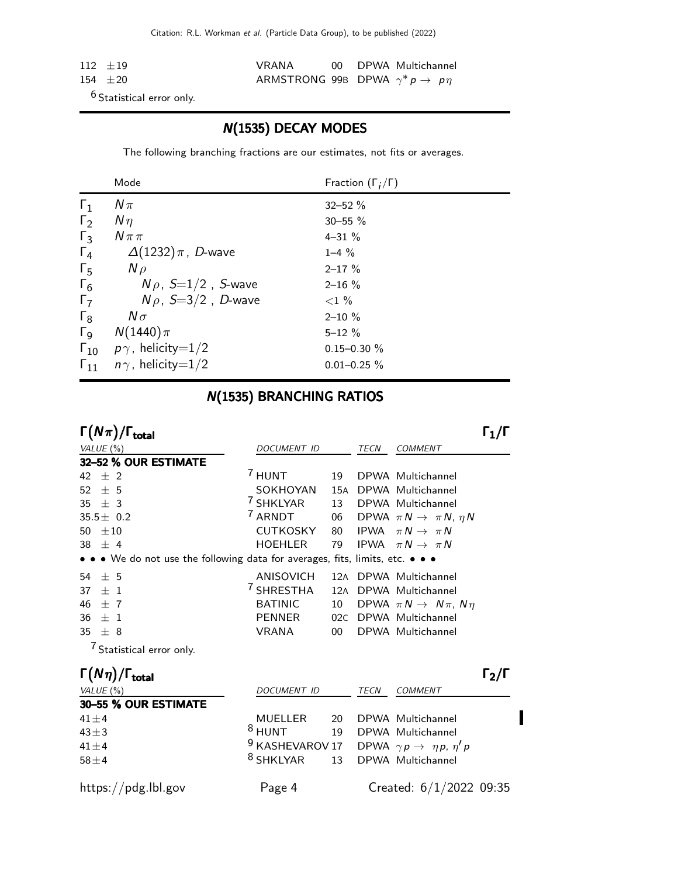| $112 + 19$ | VRANA                                      |  | 00 DPWA Multichannel |
|------------|--------------------------------------------|--|----------------------|
| $154 + 20$ | ARMSTRONG 99B DPWA $\gamma^* p \to p \eta$ |  |                      |
|            |                                            |  |                      |

6 Statistical error only.

### N(1535) DECAY MODES

The following branching fractions are our estimates, not fits or averages.

|                       | Mode                                   | Fraction $(\Gamma_i/\Gamma)$ |
|-----------------------|----------------------------------------|------------------------------|
| $\Gamma_1$            | $N\pi$                                 | $32 - 52 \%$                 |
| $\Gamma_2$            | $N\eta$                                | $30 - 55 \%$                 |
| $\Gamma_3$            | $N \pi \pi$                            | $4 - 31 \%$                  |
| $\Gamma_4$            | $\Delta(1232)\pi$ , D-wave             | $1 - 4\%$                    |
| $\Gamma_{5}$          | $N \rho$                               | $2 - 17 \%$                  |
| $\Gamma_6$            | $N\rho$ , $S=1/2$ , <i>S</i> -wave     | $2 - 16 \%$                  |
| $\Gamma_7$            | $N\rho$ , S=3/2, D-wave                | ${<}1\%$                     |
| $\Gamma_8$            | $N\sigma$                              | $2 - 10 \%$                  |
| $\Gamma_{\mathsf{Q}}$ | $N(1440)\pi$                           | $5 - 12 \%$                  |
|                       | $\Gamma_{10}$ $p\gamma$ , helicity=1/2 | $0.15 - 0.30 \%$             |
| $\Gamma_{11}$         | $n\gamma$ , helicity=1/2               | $0.01 - 0.25 \%$             |

#### N(1535) BRANCHING RATIOS

| $\Gamma(N\pi)/\Gamma_{\rm total}$                                             |                            |       |             |                                              | $\Gamma_1/\Gamma$                   |
|-------------------------------------------------------------------------------|----------------------------|-------|-------------|----------------------------------------------|-------------------------------------|
| VALUE $(\% )$                                                                 | <b>DOCUMENT ID</b>         |       | <b>TECN</b> | <b>COMMENT</b>                               |                                     |
| 32-52 % OUR ESTIMATE                                                          |                            |       |             |                                              |                                     |
| $±$ 2<br>42                                                                   | $^7$ HUNT                  | 19    |             | DPWA Multichannel                            |                                     |
| ± 5<br>52                                                                     | SOKHOYAN                   | 15A   |             | DPWA Multichannel                            |                                     |
| 35 $\pm$ 3                                                                    | 7 SHKLYAR                  | 13    |             | DPWA Multichannel                            |                                     |
| $35.5 \pm 0.2$                                                                | <sup>7</sup> ARNDT         |       |             | 06 DPWA $\pi N \rightarrow \pi N$ , $\eta N$ |                                     |
| $\pm 10$<br>50                                                                | <b>CUTKOSKY</b>            | 80    |             | IPWA $\pi N \rightarrow \pi N$               |                                     |
| 38 $\pm$ 4                                                                    | <b>HOEHLER</b>             | 79    |             | IPWA $\pi N \rightarrow \pi N$               |                                     |
| • • • We do not use the following data for averages, fits, limits, etc. • • • |                            |       |             |                                              |                                     |
| 54 $\pm$ 5                                                                    | <b>ANISOVICH</b>           | 12A   |             | DPWA Multichannel                            |                                     |
| $+1$<br>37                                                                    | <sup>7</sup> SHRESTHA      | 12A   |             | DPWA Multichannel                            |                                     |
| $\pm$ 7<br>46                                                                 | <b>BATINIC</b>             | 10    |             | DPWA $\pi N \rightarrow N \pi$ , $N \eta$    |                                     |
| $36 \pm 1$                                                                    | PENNER                     | 02C   |             | DPWA Multichannel                            |                                     |
| 35 $\pm$ 8                                                                    | <b>VRANA</b>               | $00-$ |             | DPWA Multichannel                            |                                     |
| <sup>7</sup> Statistical error only.                                          |                            |       |             |                                              |                                     |
| $\Gamma(N\eta)/\Gamma_{\rm total}$                                            |                            |       |             |                                              | $\mathsf{\Gamma_2}/\mathsf{\Gamma}$ |
| VALUE $(\%)$                                                                  | <b>DOCUMENT ID</b>         |       | <b>TECN</b> | <b>COMMENT</b>                               |                                     |
| 30-55 % OUR ESTIMATE                                                          |                            |       |             |                                              |                                     |
| $41 \pm 4$                                                                    | <b>MUELLER</b>             | 20    |             | DPWA Multichannel                            |                                     |
| $43 \pm 3$                                                                    | $8$ HUNT                   | 19    |             | DPWA Multichannel                            |                                     |
| $41 \pm 4$                                                                    | <sup>9</sup> KASHEVAROV 17 |       |             | DPWA $\gamma p \rightarrow \eta p, \eta' p$  |                                     |
| $58 \pm 4$                                                                    | <sup>8</sup> SHKLYAR       | 13    |             | DPWA Multichannel                            |                                     |
| https://pdg.lbl.gov                                                           | Page 4                     |       |             | Created: $6/1/2022$ 09:35                    |                                     |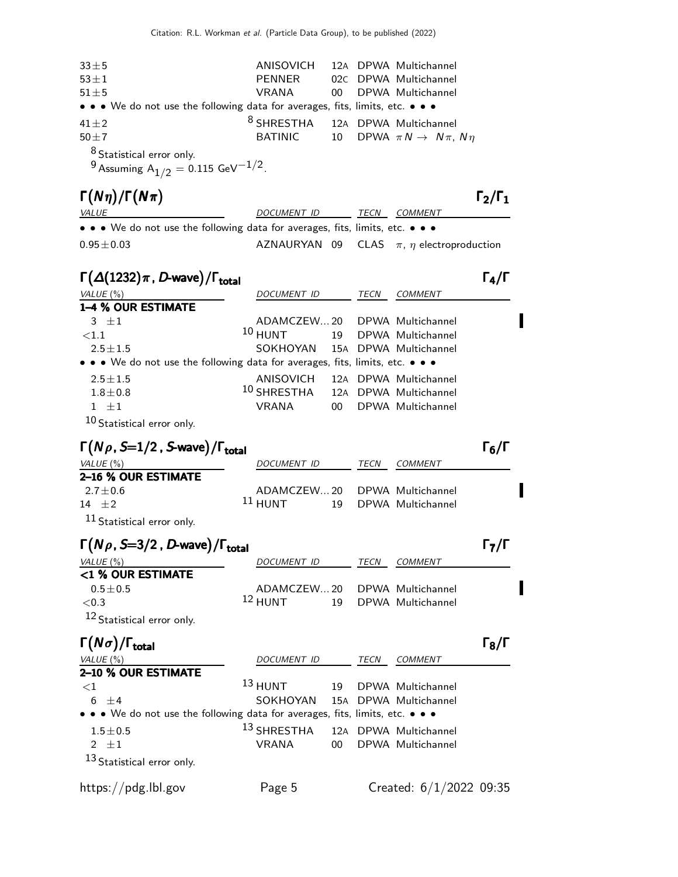| $33\pm5$                                                                      | ANISOVICH                      |     |      | 12A DPWA Multichannel                     |                                     |
|-------------------------------------------------------------------------------|--------------------------------|-----|------|-------------------------------------------|-------------------------------------|
| $53 \pm 1$                                                                    | <b>PENNER</b>                  |     |      | 02C DPWA Multichannel                     |                                     |
| $51\pm5$                                                                      | <b>VRANA</b>                   | 00  |      | DPWA Multichannel                         |                                     |
| • • • We do not use the following data for averages, fits, limits, etc. • • • |                                |     |      |                                           |                                     |
| $41 \pm 2$                                                                    | $^8$ SHRESTHA                  |     |      | 12A DPWA Multichannel                     |                                     |
| $50 \pm 7$                                                                    | <b>BATINIC</b>                 | 10  |      | DPWA $\pi N \rightarrow N \pi$ , $N \eta$ |                                     |
| <sup>8</sup> Statistical error only.                                          |                                |     |      |                                           |                                     |
| <sup>9</sup> Assuming $A_{1/2} = 0.115 \text{ GeV}^{-1/2}$ .                  |                                |     |      |                                           |                                     |
| $\Gamma(N\eta)/\Gamma(N\pi)$                                                  |                                |     |      |                                           | $\Gamma_2/\Gamma_1$                 |
| <b>VALUE</b>                                                                  | DOCUMENT ID                    |     | TECN | <i>COMMENT</i>                            |                                     |
| • • • We do not use the following data for averages, fits, limits, etc. • • • |                                |     |      |                                           |                                     |
| $0.95 \pm 0.03$                                                               | AZNAURYAN 09                   |     |      | CLAS $\pi$ , $\eta$ electroproduction     |                                     |
|                                                                               |                                |     |      |                                           |                                     |
| $\Gamma(\Delta(1232)\pi, D$ -wave)/ $\Gamma_{\text{total}}$                   |                                |     |      |                                           | $\Gamma_4/\Gamma$                   |
| VALUE (%)<br>1-4 % OUR ESTIMATE                                               | DOCUMENT ID                    |     | TECN | COMMENT                                   |                                     |
| $3 \pm 1$                                                                     | ADAMCZEW20                     |     |      | DPWA Multichannel                         |                                     |
| ${<}1.1$                                                                      | $10$ HUNT                      | 19  |      | DPWA Multichannel                         |                                     |
| $2.5 \pm 1.5$                                                                 | SOKHOYAN 15A DPWA Multichannel |     |      |                                           |                                     |
| • • We do not use the following data for averages, fits, limits, etc. • • •   |                                |     |      |                                           |                                     |
| $2.5 \pm 1.5$                                                                 | ANISOVICH                      |     |      | 12A DPWA Multichannel                     |                                     |
| $1.8 + 0.8$                                                                   | $^{\rm 10}$ SHRESTHA           |     |      | 12A DPWA Multichannel                     |                                     |
| $1 \pm 1$                                                                     | <b>VRANA</b>                   | 00  |      | DPWA Multichannel                         |                                     |
| 10 Statistical error only.                                                    |                                |     |      |                                           |                                     |
| $\Gamma(N\rho, S=1/2$ , S-wave)/ $\Gamma_{\rm total}$                         |                                |     |      |                                           | $\mathsf{\Gamma}_6/\mathsf{\Gamma}$ |
| VALUE (%)                                                                     | DOCUMENT ID                    |     | TECN | <b>COMMENT</b>                            |                                     |
| 2-16 % OUR ESTIMATE                                                           |                                |     |      |                                           |                                     |
| $2.7 \pm 0.6$                                                                 | ADAMCZEW20                     |     |      | DPWA Multichannel                         |                                     |
| 14 $\pm 2$                                                                    | $11$ HUNT                      | 19  |      | DPWA Multichannel                         |                                     |
| $11$ Statistical error only.                                                  |                                |     |      |                                           |                                     |
| $\Gamma(N\rho, S=3/2, D$ -wave)/ $\Gamma_{\rm total}$                         |                                |     |      |                                           | $\mathsf{\Gamma}_7/\mathsf{\Gamma}$ |
| VALUE (%)                                                                     | DOCUMENT ID                    |     | TECN | COMMENT                                   |                                     |
| <1 % OUR ESTIMATE                                                             |                                |     |      |                                           |                                     |
| $0.5\pm0.5$                                                                   | ADAMCZEW20                     |     |      | DPWA Multichannel                         |                                     |
| ${<}0.3$                                                                      | $12$ HUNT                      | 19  |      | DPWA Multichannel                         |                                     |
| 12 Statistical error only.                                                    |                                |     |      |                                           |                                     |
| $\Gamma(N\sigma)/\Gamma_{\rm total}$                                          |                                |     |      |                                           | $\mathsf{\Gamma}_8/\mathsf{\Gamma}$ |
| VALUE $(\%)$                                                                  | <b>DOCUMENT ID</b>             |     | TECN | <b>COMMENT</b>                            |                                     |
| 2-10 % OUR ESTIMATE                                                           |                                |     |      |                                           |                                     |
| $<$ 1                                                                         | $13$ HUNT                      | 19  |      | DPWA Multichannel                         |                                     |
| $6 \pm 4$                                                                     | SOKHOYAN                       |     |      | 15A DPWA Multichannel                     |                                     |
| • • We do not use the following data for averages, fits, limits, etc. • • •   |                                |     |      |                                           |                                     |
| $1.5\pm0.5$                                                                   | <sup>13</sup> SHRESTHA         | 12A |      | DPWA Multichannel                         |                                     |
| 2 $\pm 1$                                                                     | <b>VRANA</b>                   | 00  |      | DPWA Multichannel                         |                                     |
| <sup>13</sup> Statistical error only.                                         |                                |     |      |                                           |                                     |
| https://pdg.lbl.gov                                                           | Page 5                         |     |      | Created: $6/1/2022$ 09:35                 |                                     |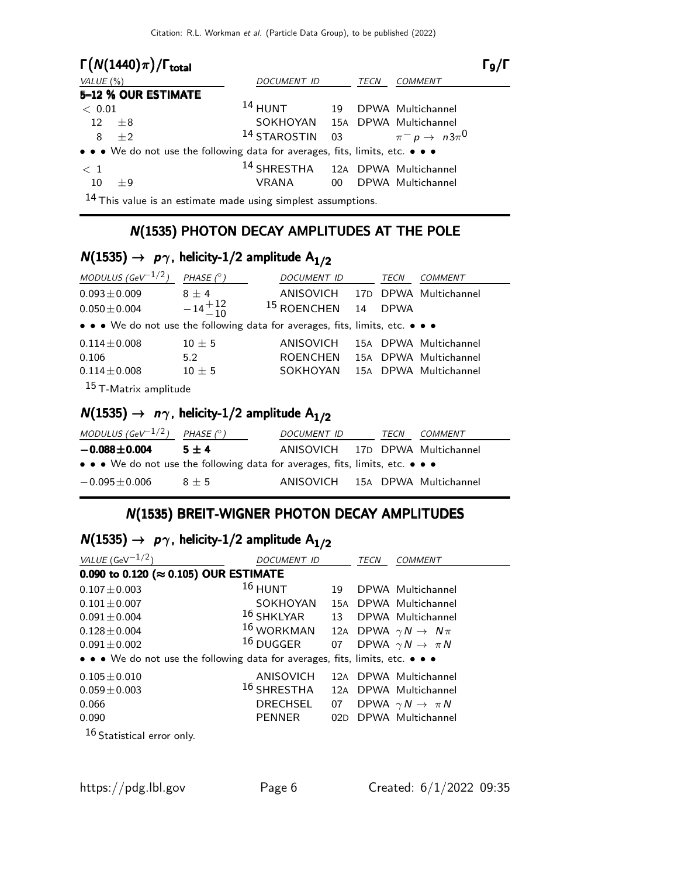| $\Gamma(N(1440)\pi)/\Gamma_{\text{total}}$                                    |                                                  |             |                   | $\Gamma_{9}/\Gamma$ |
|-------------------------------------------------------------------------------|--------------------------------------------------|-------------|-------------------|---------------------|
| VALUE $(\% )$                                                                 | DOCUMENT ID                                      | <b>TECN</b> | <b>COMMENT</b>    |                     |
| 5-12 % OUR ESTIMATE                                                           |                                                  |             |                   |                     |
| < 0.01                                                                        | <sup>14</sup> HUNT 19 DPWA Multichannel          |             |                   |                     |
| 12<br>$+8$                                                                    | SOKHOYAN 15A DPWA Multichannel                   |             |                   |                     |
| $+2$<br>8                                                                     | <sup>14</sup> STAROSTIN 03 $\pi^- p \to n3\pi^0$ |             |                   |                     |
| • • • We do not use the following data for averages, fits, limits, etc. • • • |                                                  |             |                   |                     |
| < 1                                                                           | 14 SHRESTHA 12A DPWA Multichannel                |             |                   |                     |
| 10<br>$+9$                                                                    | VRANA 00                                         |             | DPWA Multichannel |                     |
| 11                                                                            |                                                  |             |                   |                     |

<sup>14</sup> This value is an estimate made using simplest assumptions.

#### N(1535) PHOTON DECAY AMPLITUDES AT THE POLE

## $N(1535) \rightarrow p\gamma$ , helicity-1/2 amplitude  $A_{1/2}$

| MODULUS (GeV <sup>-1/2</sup> )                                                | PHASE $(^\circ)$  | DOCUMENT ID                     |     | TECN        | <b>COMMENT</b>        |
|-------------------------------------------------------------------------------|-------------------|---------------------------------|-----|-------------|-----------------------|
| $0.093 \pm 0.009$                                                             | $8 \pm 4$         | ANISOVICH 17D DPWA Multichannel |     |             |                       |
| $0.050 \pm 0.004$                                                             | $-14^{+12}_{-10}$ | <sup>15</sup> ROENCHEN          | 14  | <b>DPWA</b> |                       |
| • • • We do not use the following data for averages, fits, limits, etc. • • • |                   |                                 |     |             |                       |
| $0.114 \pm 0.008$                                                             | $10 \pm 5$        | ANISOVICH                       |     |             | 15A DPWA Multichannel |
| 0.106                                                                         | 5.2               | <b>ROENCHEN</b>                 | 15A |             | DPWA Multichannel     |
| $0.114 \pm 0.008$                                                             | $10 \pm 5$        | SOKHOYAN                        |     |             | 15A DPWA Multichannel |
| <sup>15</sup> T-Matrix amplitude                                              |                   |                                 |     |             |                       |

## $N(1535) \rightarrow n\gamma$ , helicity-1/2 amplitude A<sub>1/2</sub>

| MODULUS (GeV $^{-1/2}$ ) PHASE (° )                                           |         | <i>DOCUMENT ID</i>              | TECN | <i>COMMENT</i> |
|-------------------------------------------------------------------------------|---------|---------------------------------|------|----------------|
| $-0.088 \pm 0.004$                                                            | $5 + 4$ | ANISOVICH 17D DPWA Multichannel |      |                |
| • • • We do not use the following data for averages, fits, limits, etc. • • • |         |                                 |      |                |
| $-0.095 \pm 0.006$                                                            | $8 + 5$ | ANISOVICH 15A DPWA Multichannel |      |                |

### N(1535) BREIT-WIGNER PHOTON DECAY AMPLITUDES

## $N(1535) \rightarrow p\gamma$ , helicity-1/2 amplitude  $A_{1/2}$

| VALUE (GeV $-1/2$ )                                                           | DOCUMENT ID                 |    | TECN | <b>COMMENT</b>                        |  |  |
|-------------------------------------------------------------------------------|-----------------------------|----|------|---------------------------------------|--|--|
| 0.090 to 0.120 (≈ 0.105) OUR ESTIMATE                                         |                             |    |      |                                       |  |  |
| $0.107 \pm 0.003$                                                             | $16$ HUNT                   | 19 |      | DPWA Multichannel                     |  |  |
| $0.101 + 0.007$                                                               | SOKHOYAN                    |    |      | 15A DPWA Multichannel                 |  |  |
| $0.091 \pm 0.004$                                                             | $^{16}$ SHKLYAR $\qquad$ 13 |    |      | DPWA Multichannel                     |  |  |
| $0.128 \pm 0.004$                                                             | $16$ WORKMAN                |    |      | 12A DPWA $\gamma N \rightarrow N \pi$ |  |  |
| $0.091 \pm 0.002$                                                             | $^{16}$ DUGGER              | 07 |      | DPWA $\gamma N \rightarrow \pi N$     |  |  |
| • • • We do not use the following data for averages, fits, limits, etc. • • • |                             |    |      |                                       |  |  |
| $0.105 \pm 0.010$                                                             | ANISOVICH                   |    |      | 12A DPWA Multichannel                 |  |  |
| $0.059 \pm 0.003$                                                             | $^{16}$ SHRESTHA            |    |      | 12A DPWA Multichannel                 |  |  |
| 0.066                                                                         | <b>DRECHSEL</b>             | 07 |      | DPWA $\gamma N \rightarrow \pi N$     |  |  |
| 0.090                                                                         | <b>PENNER</b>               |    |      | 02D DPWA Multichannel                 |  |  |
| $\sim$                                                                        |                             |    |      |                                       |  |  |

16 Statistical error only.